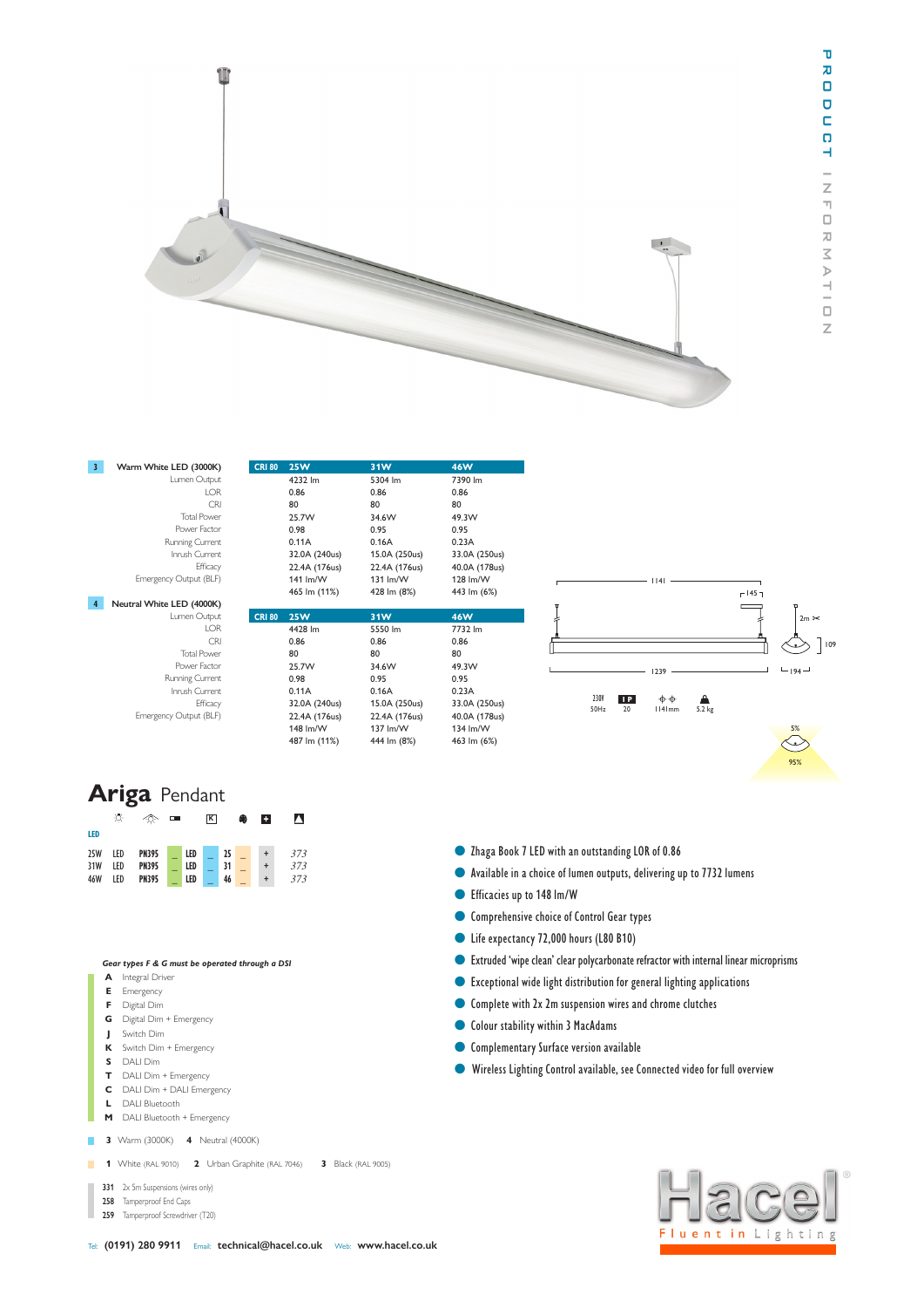

| $\overline{3}$ | Warm White LED (3000K)    | <b>CRI 80</b> | <b>25W</b>    | 31W           | <b>46W</b>    |
|----------------|---------------------------|---------------|---------------|---------------|---------------|
|                | Lumen Output              |               | 4232 lm       | 5304 lm       | 7390 lm       |
|                | LOR                       |               | 0.86          | 0.86          | 0.86          |
|                | <b>CRI</b>                |               | 80            | 80            | 80            |
|                | <b>Total Power</b>        |               | 25.7W         | 34.6W         | 49.3W         |
|                | Power Factor              |               | 0.98          | 0.95          | 0.95          |
|                | Running Current           |               | 0.11A         | 0.16A         | 0.23A         |
|                | Inrush Current            |               | 32.0A (240us) | 15.0A (250us) | 33.0A (250us) |
|                | Efficacy                  |               | 22.4A (176us) | 22.4A (176us) | 40.0A (178us) |
|                | Emergency Output (BLF)    |               | 141 lm/W      | 131 lm/W      | 128 lm/W      |
|                |                           |               | 465 lm (11%)  | 428 lm (8%)   | 443 lm (6%)   |
| $\overline{4}$ | Neutral White LED (4000K) |               |               |               |               |
|                | Lumen Output              | <b>CRI 80</b> | <b>25W</b>    | 31W           | <b>46W</b>    |
|                | <b>LOR</b>                |               | 4428 lm       | 5550 lm       | 7732 lm       |
|                | <b>CRI</b>                |               | 0.86          | 0.86          | 0.86          |
|                | <b>Total Power</b>        |               | 80            | 80            | 80            |
|                | Power Factor              |               | 25.7W         | 34.6W         | 49.3W         |
|                | Running Current           |               | 0.98          | 0.95          | 0.95          |
|                | Inrush Current            |               | 0.11A         | 0.16A         | 0.23A         |
|                | Efficacy                  |               | 32.0A (240us) | 15.0A (250us) | 33.0A (250us) |
|                | Emergency Output (BLF)    |               | 22.4A (176us) | 22.4A (176us) | 40.0A (178us) |
|                |                           |               | 148 lm/W      | 137 lm/W      | 134 lm/W      |
|                |                           |               | 487 lm (11%)  | 444 lm (8%)   | 463 lm (6%)   |

| <b>Ariga Pendant</b> |                 |              |        |     |                         |                 |   |                 |     |  |  |  |  |  |
|----------------------|-----------------|--------------|--------|-----|-------------------------|-----------------|---|-----------------|-----|--|--|--|--|--|
|                      | ☆               | จ            | $\Box$ |     | $\overline{\mathbf{K}}$ |                 | ♠ | п               | л   |  |  |  |  |  |
| LED                  |                 |              |        |     |                         |                 |   |                 |     |  |  |  |  |  |
| <b>25W</b>           | IF <sub>D</sub> | <b>PN395</b> |        | LED |                         | 25              |   | $^{\mathrm{+}}$ | 373 |  |  |  |  |  |
| 31W                  | LED             | <b>PN395</b> |        | LED |                         | $\overline{31}$ |   |                 | 373 |  |  |  |  |  |
| 46W                  | LED             | <b>PN395</b> |        | LED |                         | 46              |   |                 | 373 |  |  |  |  |  |

## *Gear types F & G must be operated through a DSI*

- **A** Integral Driver
- **E** Emergency
- **F** Digital Dim
- **G** Digital Dim + Emergency
- **J** Switch Dim
- **K** Switch Dim + Emergency
- **S** DALI Dim
- **T** DALI Dim + Emergency
- **C** DALI Dim + DALI Emergency
- **L** DALI Bluetooth **M** DALI Bluetooth + Emergency
- 

**3** Warm (3000K) **4** Neutral (4000K)

- **1** White (RAL 9010) **2** Urban Graphite (RAL 7046) **3** Black (RAL 9005)
	- **331** 2x 5m Suspensions (wires only)
	- **258** Tamperproof End Caps
- **259** Tamperproof Screwdriver (T20)
- Zhaga Book 7 LED with an outstanding LOR of 0.86
- l Available in a choice of lumen outputs, delivering up to 7732 lumens
- Efficacies up to 148 lm/W
- **Comprehensive choice of Control Gear types**
- Life expectancy 72,000 hours (L80 B10)
- l Extruded 'wipe clean' clear polycarbonate refractor with internal linear microprisms
- l Exceptional wide light distribution for general lighting applications
- **Complete with 2x 2m suspension wires and chrome clutches**
- **Colour stability within 3 MacAdams**
- **Complementary Surface version available**
- lWireless Lighting Control available, see Connected video for full overview



95%